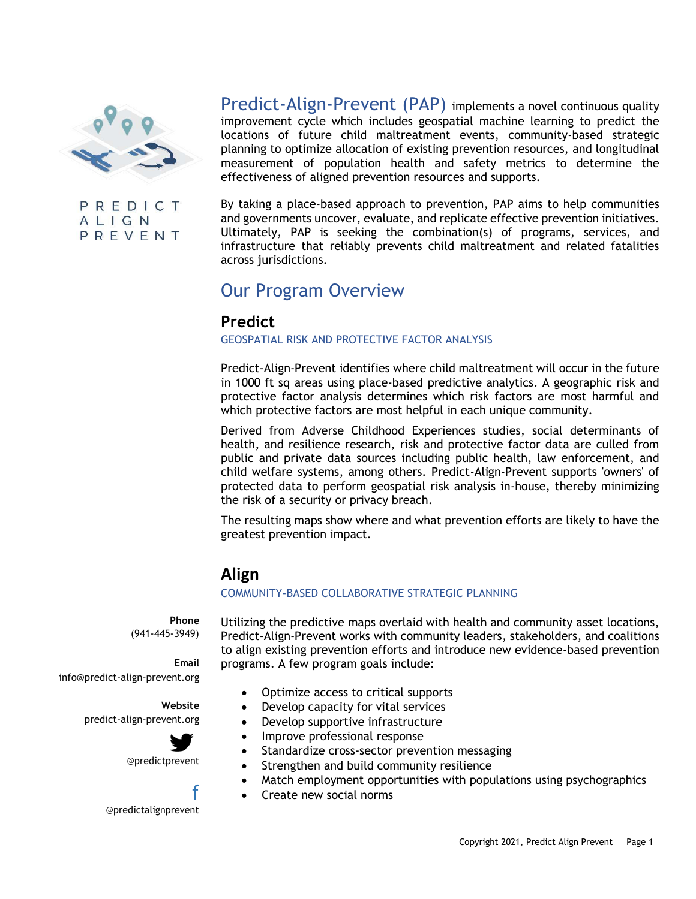

PREDICT ALIGN PREVENT

Predict-Align-Prevent (PAP) implements a novel continuous quality improvement cycle which includes geospatial machine learning to predict the locations of future child maltreatment events, community-based strategic planning to optimize allocation of existing prevention resources, and longitudinal measurement of population health and safety metrics to determine the effectiveness of aligned prevention resources and supports.

By taking a place-based approach to prevention, PAP aims to help communities and governments uncover, evaluate, and replicate effective prevention initiatives. Ultimately, PAP is seeking the combination(s) of programs, services, and infrastructure that reliably prevents child maltreatment and related fatalities across jurisdictions.

# Our Program Overview

### **Predict**

#### GEOSPATIAL RISK AND PROTECTIVE FACTOR ANALYSIS

Predict-Align-Prevent identifies where child maltreatment will occur in the future in 1000 ft sq areas using place-based predictive analytics. A geographic risk and protective factor analysis determines which risk factors are most harmful and which protective factors are most helpful in each unique community.

Derived from Adverse Childhood Experiences studies, social determinants of health, and resilience research, risk and protective factor data are culled from public and private data sources including public health, law enforcement, and child welfare systems, among others. Predict-Align-Prevent supports 'owners' of protected data to perform geospatial risk analysis in-house, thereby minimizing the risk of a security or privacy breach.

The resulting maps show where and what prevention efforts are likely to have the greatest prevention impact.

# **Align**

#### COMMUNITY-BASED COLLABORATIVE STRATEGIC PLANNING

**Phone** (941-445-3949)

**Email** [info@predict-align-prevent.org](mailto:info@predict-align-prevent.org)

> **Website** predict-align-prevent.org



@predictprevent

f @predictalignprevent Utilizing the predictive maps overlaid with health and community asset locations, Predict-Align-Prevent works with community leaders, stakeholders, and coalitions to align existing prevention efforts and introduce new evidence-based prevention programs. A few program goals include:

- Optimize access to critical supports
- Develop capacity for vital services
- Develop supportive infrastructure
- Improve professional response
- Standardize cross-sector prevention messaging
- Strengthen and build community resilience
- Match employment opportunities with populations using psychographics
- Create new social norms